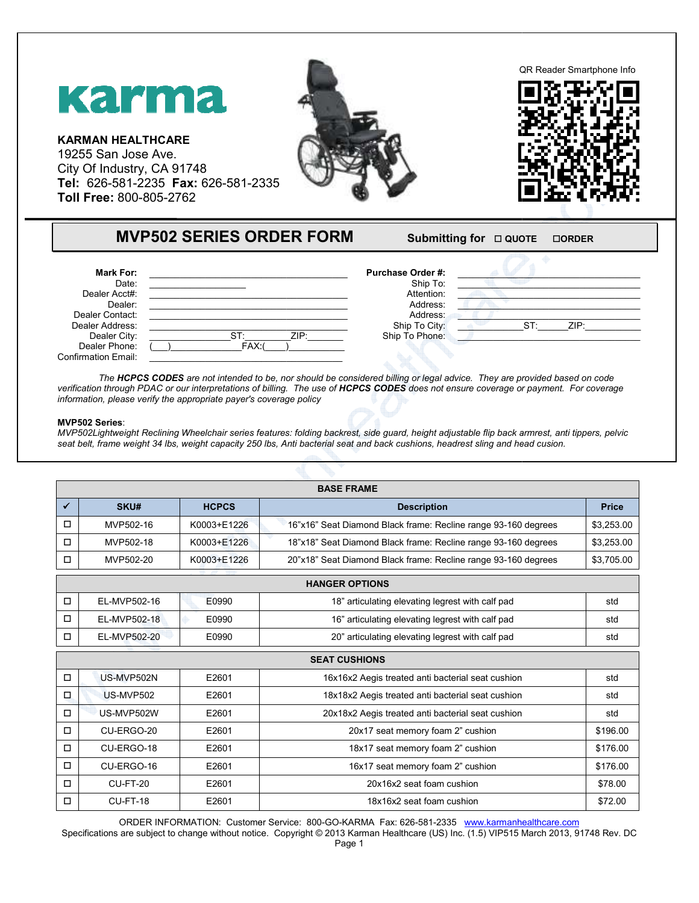

| <b>Mark For:</b>           |                | <b>Purchase Order #:</b> |                |
|----------------------------|----------------|--------------------------|----------------|
| Date:                      |                | Ship To:                 |                |
| Dealer Acct#:              |                | Attention:               |                |
| Dealer:                    |                | Address:                 |                |
| Dealer Contact:            |                | Address:                 |                |
| Dealer Address:            |                | Ship To City:            | ZIP:<br>$ST^r$ |
| Dealer City:               | ZIP:<br>$ST^-$ | Ship To Phone:           |                |
| Dealer Phone:              | FAX:           |                          |                |
| <b>Confirmation Email:</b> |                |                          |                |

## **MVP502 Series**:

|                              | QR Reader Smartphone Info<br>Karma<br><b>KARMAN HEALTHCARE</b><br>19255 San Jose Ave.<br>City Of Industry, CA 91748<br>Tel: 626-581-2235 Fax: 626-581-2335<br>Toll Free: 800-805-2762                                                                     |                                 |                                                                                                                                                                                                                                                                                                                                                                                                                                                                                                                                                                                                                                                                                   |               |  |  |
|------------------------------|-----------------------------------------------------------------------------------------------------------------------------------------------------------------------------------------------------------------------------------------------------------|---------------------------------|-----------------------------------------------------------------------------------------------------------------------------------------------------------------------------------------------------------------------------------------------------------------------------------------------------------------------------------------------------------------------------------------------------------------------------------------------------------------------------------------------------------------------------------------------------------------------------------------------------------------------------------------------------------------------------------|---------------|--|--|
|                              |                                                                                                                                                                                                                                                           | <b>MVP502 SERIES ORDER FORM</b> | Submitting for $\Box$ QUOTE                                                                                                                                                                                                                                                                                                                                                                                                                                                                                                                                                                                                                                                       | <b>OORDER</b> |  |  |
|                              | <b>Mark For:</b><br>Date:<br>Dealer Acct#:<br>Dealer:<br>Dealer Contact:<br>Dealer Address:<br>Dealer City:<br>Dealer Phone:<br><b>Confirmation Email:</b><br>information, please verify the appropriate payer's coverage policy<br><b>MVP502 Series:</b> | ST:<br>$\overline{FAX:}$        | Purchase Order #:<br>Ship To:<br>Attention:<br>Address:<br>Address:<br>ST:<br>Ship To City:<br>ZIP:<br>Ship To Phone:<br>The HCPCS CODES are not intended to be, nor should be considered billing or legal advice. They are provided based on code<br>verification through PDAC or our interpretations of billing. The use of HCPCS CODES does not ensure coverage or payment. For coverage<br>MVP502Lightweight Reclining Wheelchair series features: folding backrest, side guard, height adjustable flip back armrest, anti tippers, pelvic<br>seat belt, frame weight 34 lbs, weight capacity 250 lbs, Anti bacterial seat and back cushions, headrest sling and head cusion. | ZIP:          |  |  |
|                              |                                                                                                                                                                                                                                                           |                                 | <b>BASE FRAME</b>                                                                                                                                                                                                                                                                                                                                                                                                                                                                                                                                                                                                                                                                 |               |  |  |
| $\checkmark$                 | SKU#                                                                                                                                                                                                                                                      | <b>HCPCS</b>                    | <b>Description</b>                                                                                                                                                                                                                                                                                                                                                                                                                                                                                                                                                                                                                                                                | <b>Price</b>  |  |  |
| $\Box$                       | MVP502-16                                                                                                                                                                                                                                                 | K0003+E1226                     | 16"x16" Seat Diamond Black frame: Recline range 93-160 degrees                                                                                                                                                                                                                                                                                                                                                                                                                                                                                                                                                                                                                    | \$3,253.00    |  |  |
| 0                            | MVP502-18                                                                                                                                                                                                                                                 | K0003+E1226                     | 18"x18" Seat Diamond Black frame: Recline range 93-160 degrees                                                                                                                                                                                                                                                                                                                                                                                                                                                                                                                                                                                                                    | \$3,253.00    |  |  |
|                              | MVP502-20                                                                                                                                                                                                                                                 | K0003+E1226                     | 20"x18" Seat Diamond Black frame: Recline range 93-160 degrees                                                                                                                                                                                                                                                                                                                                                                                                                                                                                                                                                                                                                    | \$3,705.00    |  |  |
|                              |                                                                                                                                                                                                                                                           |                                 | <b>HANGER OPTIONS</b>                                                                                                                                                                                                                                                                                                                                                                                                                                                                                                                                                                                                                                                             |               |  |  |
| □                            | EL-MVP502-16                                                                                                                                                                                                                                              | E0990                           | 18" articulating elevating legrest with calf pad                                                                                                                                                                                                                                                                                                                                                                                                                                                                                                                                                                                                                                  | std           |  |  |
| $\Box$                       | EL-MVP502-18                                                                                                                                                                                                                                              | E0990                           | 16" articulating elevating legrest with calf pad                                                                                                                                                                                                                                                                                                                                                                                                                                                                                                                                                                                                                                  | std           |  |  |
| $\Box$                       | EL-MVP502-20                                                                                                                                                                                                                                              | E0990                           | 20" articulating elevating legrest with calf pad                                                                                                                                                                                                                                                                                                                                                                                                                                                                                                                                                                                                                                  | std           |  |  |
|                              |                                                                                                                                                                                                                                                           |                                 | <b>SEAT CUSHIONS</b>                                                                                                                                                                                                                                                                                                                                                                                                                                                                                                                                                                                                                                                              |               |  |  |
| П                            | US-MVP502N                                                                                                                                                                                                                                                | E2601                           | 16x16x2 Aegis treated anti bacterial seat cushion                                                                                                                                                                                                                                                                                                                                                                                                                                                                                                                                                                                                                                 | std           |  |  |
| $\mathcal{L}_{\mathrm{eff}}$ | US-MVP502                                                                                                                                                                                                                                                 | E2601                           | 18x18x2 Aegis treated anti bacterial seat cushion                                                                                                                                                                                                                                                                                                                                                                                                                                                                                                                                                                                                                                 | std           |  |  |
| $\Box$                       | US-MVP502W                                                                                                                                                                                                                                                | E2601                           | 20x18x2 Aegis treated anti bacterial seat cushion                                                                                                                                                                                                                                                                                                                                                                                                                                                                                                                                                                                                                                 | std           |  |  |
| $\Box$                       | CU-ERGO-20                                                                                                                                                                                                                                                | E2601                           | 20x17 seat memory foam 2" cushion                                                                                                                                                                                                                                                                                                                                                                                                                                                                                                                                                                                                                                                 | \$196.00      |  |  |
| $\Box$                       | CU-ERGO-18                                                                                                                                                                                                                                                | E2601                           | 18x17 seat memory foam 2" cushion                                                                                                                                                                                                                                                                                                                                                                                                                                                                                                                                                                                                                                                 | \$176.00      |  |  |
|                              | CU-ERGO-16                                                                                                                                                                                                                                                | E2601                           | 16x17 seat memory foam 2" cushion                                                                                                                                                                                                                                                                                                                                                                                                                                                                                                                                                                                                                                                 | \$176.00      |  |  |
|                              |                                                                                                                                                                                                                                                           |                                 |                                                                                                                                                                                                                                                                                                                                                                                                                                                                                                                                                                                                                                                                                   |               |  |  |
| $\Box$                       | <b>CU-FT-20</b>                                                                                                                                                                                                                                           | E2601                           | 20x16x2 seat foam cushion                                                                                                                                                                                                                                                                                                                                                                                                                                                                                                                                                                                                                                                         | \$78.00       |  |  |
| $\Box$                       | CU-FT-18                                                                                                                                                                                                                                                  | E2601                           | 18x16x2 seat foam cushion                                                                                                                                                                                                                                                                                                                                                                                                                                                                                                                                                                                                                                                         | \$72.00       |  |  |

Specifications are subject to change without notice. Copyright © 2013 Karman Healthcare (US) Inc. (1.5) VIP515 March 2013, 91748 Rev. DC Page 1